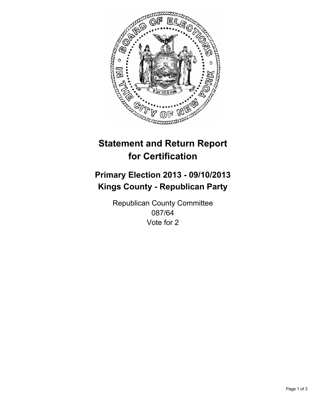

# **Statement and Return Report for Certification**

# **Primary Election 2013 - 09/10/2013 Kings County - Republican Party**

Republican County Committee 087/64 Vote for 2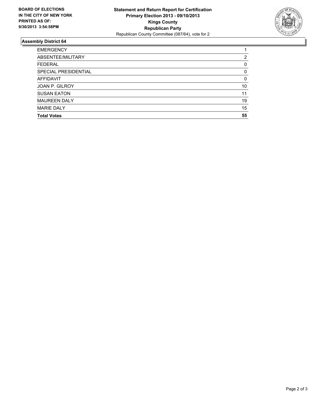

## **Assembly District 64**

| <b>EMERGENCY</b>     |          |
|----------------------|----------|
| ABSENTEE/MILITARY    | 2        |
| <b>FEDERAL</b>       | 0        |
| SPECIAL PRESIDENTIAL | $\Omega$ |
| <b>AFFIDAVIT</b>     | $\Omega$ |
| JOAN P. GILROY       | 10       |
| <b>SUSAN EATON</b>   | 11       |
| <b>MAUREEN DALY</b>  | 19       |
| <b>MARIE DALY</b>    | 15       |
| <b>Total Votes</b>   | 55       |